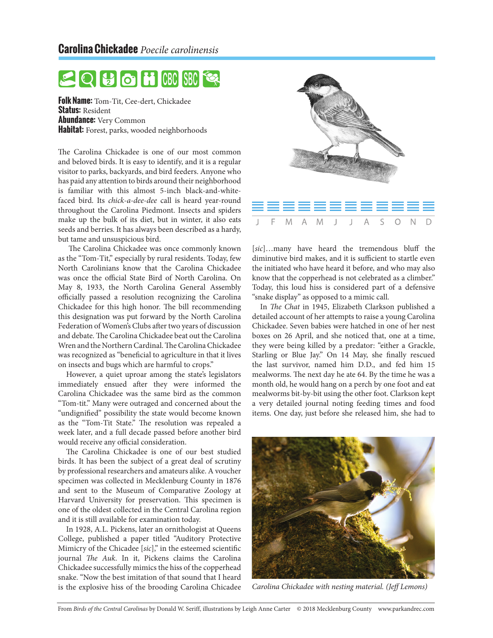## Q 9 0 H CBC SBC S

**Folk Name:** Tom-Tit, Cee-dert, Chickadee **Status:** Resident **Abundance:** Very Common **Habitat:** Forest, parks, wooded neighborhoods

The Carolina Chickadee is one of our most common and beloved birds. It is easy to identify, and it is a regular visitor to parks, backyards, and bird feeders. Anyone who has paid any attention to birds around their neighborhood is familiar with this almost 5-inch black-and-whitefaced bird. Its *chick-a-dee-dee* call is heard year-round throughout the Carolina Piedmont. Insects and spiders make up the bulk of its diet, but in winter, it also eats seeds and berries. It has always been described as a hardy, but tame and unsuspicious bird.

The Carolina Chickadee was once commonly known as the "Tom-Tit," especially by rural residents. Today, few North Carolinians know that the Carolina Chickadee was once the official State Bird of North Carolina. On May 8, 1933, the North Carolina General Assembly officially passed a resolution recognizing the Carolina Chickadee for this high honor. The bill recommending this designation was put forward by the North Carolina Federation of Women's Clubs after two years of discussion and debate. The Carolina Chickadee beat out the Carolina Wren and the Northern Cardinal. The Carolina Chickadee was recognized as "beneficial to agriculture in that it lives on insects and bugs which are harmful to crops."

However, a quiet uproar among the state's legislators immediately ensued after they were informed the Carolina Chickadee was the same bird as the common "Tom-tit." Many were outraged and concerned about the "undignified" possibility the state would become known as the "Tom-Tit State." The resolution was repealed a week later, and a full decade passed before another bird would receive any official consideration.

The Carolina Chickadee is one of our best studied birds. It has been the subject of a great deal of scrutiny by professional researchers and amateurs alike. A voucher specimen was collected in Mecklenburg County in 1876 and sent to the Museum of Comparative Zoology at Harvard University for preservation. This specimen is one of the oldest collected in the Central Carolina region and it is still available for examination today.

In 1928, A.L. Pickens, later an ornithologist at Queens College, published a paper titled "Auditory Protective Mimicry of the Chicadee [*sic*]," in the esteemed scientific journal *The Auk*. In it, Pickens claims the Carolina Chickadee successfully mimics the hiss of the copperhead snake. "Now the best imitation of that sound that I heard is the explosive hiss of the brooding Carolina Chicadee *Carolina Chickadee with nesting material. (Jeff Lemons)*



[*sic*]…many have heard the tremendous bluff the diminutive bird makes, and it is sufficient to startle even the initiated who have heard it before, and who may also know that the copperhead is not celebrated as a climber." Today, this loud hiss is considered part of a defensive "snake display" as opposed to a mimic call.

In *The Chat* in 1945, Elizabeth Clarkson published a detailed account of her attempts to raise a young Carolina Chickadee. Seven babies were hatched in one of her nest boxes on 26 April, and she noticed that, one at a time, they were being killed by a predator: "either a Grackle, Starling or Blue Jay." On 14 May, she finally rescued the last survivor, named him D.D., and fed him 15 mealworms. The next day he ate 64. By the time he was a month old, he would hang on a perch by one foot and eat mealworms bit-by-bit using the other foot. Clarkson kept a very detailed journal noting feeding times and food items. One day, just before she released him, she had to